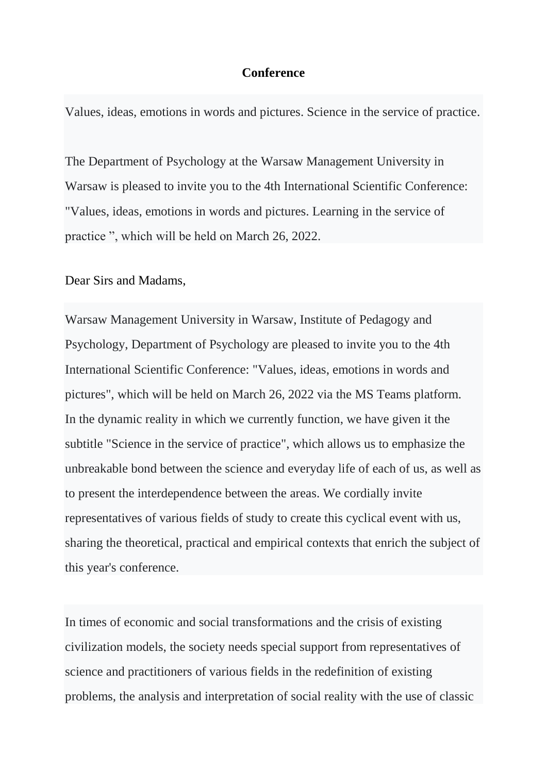## **Conference**

Values, ideas, emotions in words and pictures. Science in the service of practice.

The Department of Psychology at the Warsaw Management University in Warsaw is pleased to invite you to the 4th International Scientific Conference: "Values, ideas, emotions in words and pictures. Learning in the service of practice ", which will be held on March 26, 2022.

## Dear Sirs and Madams,

Warsaw Management University in Warsaw, Institute of Pedagogy and Psychology, Department of Psychology are pleased to invite you to the 4th International Scientific Conference: "Values, ideas, emotions in words and pictures", which will be held on March 26, 2022 via the MS Teams platform. In the dynamic reality in which we currently function, we have given it the subtitle "Science in the service of practice", which allows us to emphasize the unbreakable bond between the science and everyday life of each of us, as well as to present the interdependence between the areas. We cordially invite representatives of various fields of study to create this cyclical event with us, sharing the theoretical, practical and empirical contexts that enrich the subject of this year's conference.

In times of economic and social transformations and the crisis of existing civilization models, the society needs special support from representatives of science and practitioners of various fields in the redefinition of existing problems, the analysis and interpretation of social reality with the use of classic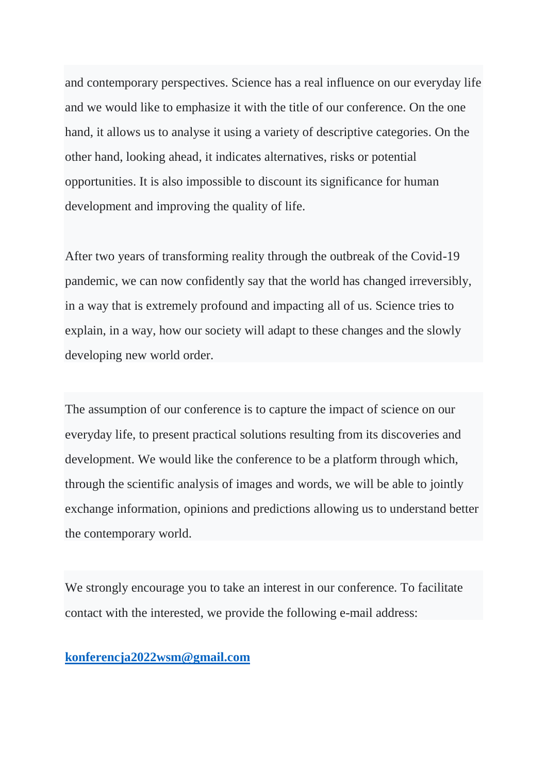and contemporary perspectives. Science has a real influence on our everyday life and we would like to emphasize it with the title of our conference. On the one hand, it allows us to analyse it using a variety of descriptive categories. On the other hand, looking ahead, it indicates alternatives, risks or potential opportunities. It is also impossible to discount its significance for human development and improving the quality of life.

After two years of transforming reality through the outbreak of the Covid-19 pandemic, we can now confidently say that the world has changed irreversibly, in a way that is extremely profound and impacting all of us. Science tries to explain, in a way, how our society will adapt to these changes and the slowly developing new world order.

The assumption of our conference is to capture the impact of science on our everyday life, to present practical solutions resulting from its discoveries and development. We would like the conference to be a platform through which, through the scientific analysis of images and words, we will be able to jointly exchange information, opinions and predictions allowing us to understand better the contemporary world.

We strongly encourage you to take an interest in our conference. To facilitate contact with the interested, we provide the following e-mail address:

**[konferencja2022wsm@gmail.com](mailto:konferencja2022wsm@gmail.com)**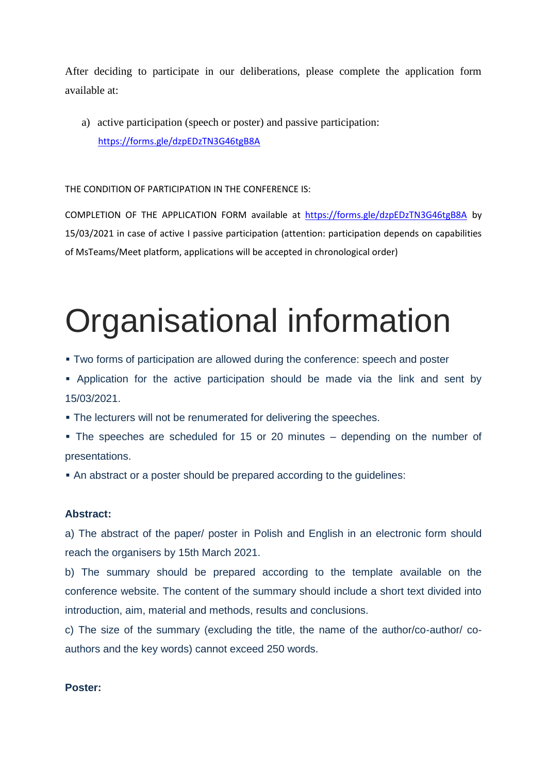After deciding to participate in our deliberations, please complete the application form available at:

a) active participation (speech or poster) and passive participation: <https://forms.gle/dzpEDzTN3G46tgB8A>

THE CONDITION OF PARTICIPATION IN THE CONFERENCE IS:

COMPLETION OF THE APPLICATION FORM available at <https://forms.gle/dzpEDzTN3G46tgB8A> by 15/03/2021 in case of active I passive participation (attention: participation depends on capabilities of MsTeams/Meet platform, applications will be accepted in chronological order)

# Organisational information

- Two forms of participation are allowed during the conference: speech and poster
- Application for the active participation should be made via the link and sent by 15/03/2021.
- The lecturers will not be renumerated for delivering the speeches.
- The speeches are scheduled for 15 or 20 minutes depending on the number of presentations.
- An abstract or a poster should be prepared according to the guidelines:

### **Abstract:**

a) The abstract of the paper/ poster in Polish and English in an electronic form should reach the organisers by 15th March 2021.

b) The summary should be prepared according to the template available on the conference website. The content of the summary should include a short text divided into introduction, aim, material and methods, results and conclusions.

c) The size of the summary (excluding the title, the name of the author/co-author/ coauthors and the key words) cannot exceed 250 words.

### **Poster:**